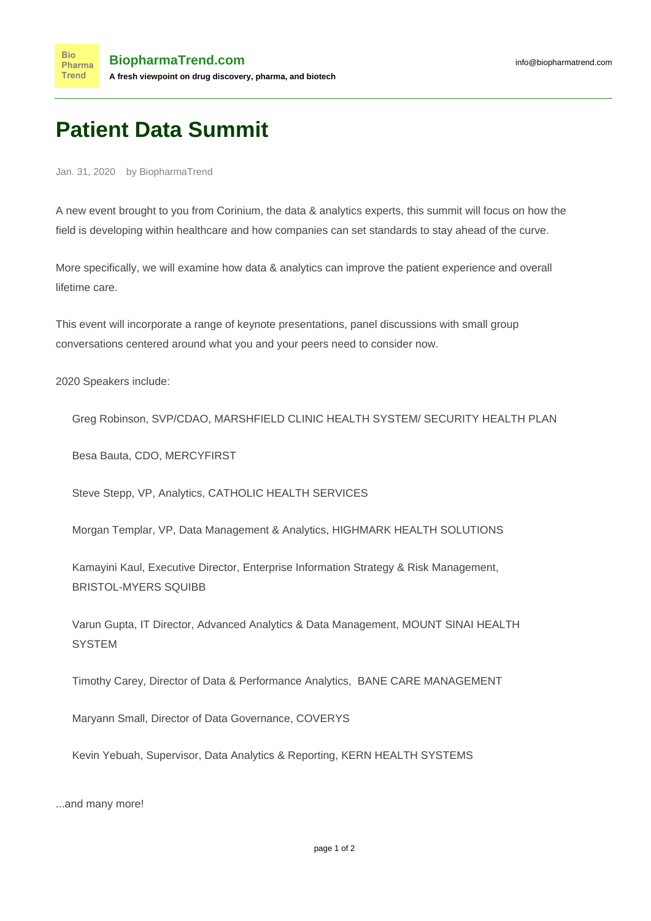## **Patient Data Summit**

Jan. 31, 2020 by BiopharmaTrend

A new event brought to you from Corinium, the data & analytics experts, this summit will focus on how the field is developing within healthcare and how companies can set standards to stay ahead of the curve.

More specifically, we will examine how data & analytics can improve the patient experience and overall lifetime care.

This event will incorporate a range of keynote presentations, panel discussions with small group conversations centered around what you and your peers need to consider now.

2020 Speakers include:

Greg Robinson, SVP/CDAO, MARSHFIELD CLINIC HEALTH SYSTEM/ SECURITY HEALTH PLAN

Besa Bauta, CDO, MERCYFIRST

Steve Stepp, VP, Analytics, CATHOLIC HEALTH SERVICES

Morgan Templar, VP, Data Management & Analytics, HIGHMARK HEALTH SOLUTIONS

Kamayini Kaul, Executive Director, Enterprise Information Strategy & Risk Management, BRISTOL-MYERS SQUIBB

Varun Gupta, IT Director, Advanced Analytics & Data Management, MOUNT SINAI HEALTH **SYSTEM** 

Timothy Carey, Director of Data & Performance Analytics, BANE CARE MANAGEMENT

Maryann Small, Director of Data Governance, COVERYS

Kevin Yebuah, Supervisor, Data Analytics & Reporting, KERN HEALTH SYSTEMS

...and many more!